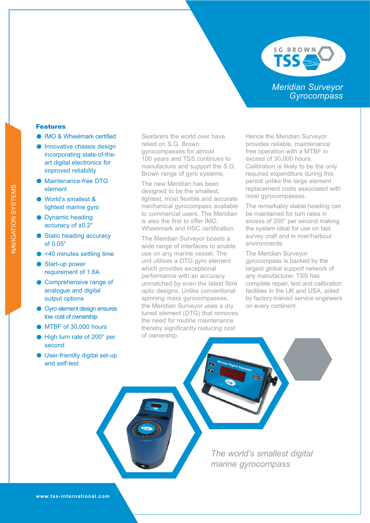

*Meridian Surveyor Gyrocompass*

## Features

- IMO & Wheelmark certified
- Innovative chassis design incorporating state-of-theart digital electronics for improved reliability
- **Maintenance-free DTG** element
- World's smallest & lightest marine gyro
- Dynamic heading accuracy of ±0.2°
- Static heading accuracy of 0.05°
- <40 minutes settling time
- Start-up power requirement of 1.8A
- Comprehensive range of analogue and digital output options
- Gyro element design ensures low cost of ownership
- **MTBF** of 30,000 hours
- High turn rate of 200° per second
- User-friendly digital set-up and self-test

Seafarers the world over have relied on S.G. Brown gyrocompasses for almost 100 years and TSS continues to manufacture and support the S.G. Brown range of gyro systems.

The new Meridian has been designed to be the smallest, lightest, most flexible and accurate mechanical gyrocompass available to commercial users. The Meridian is also the first to offer IMO, Wheelmark and HSC certification.

The Meridian Surveyor boasts a wide range of interfaces to enable use on any marine vessel. The unit utilises a DTG gyro element which provides exceptional performance with an accuracy unmatched by even the latest fibre optic designs. Unlike conventional spinning mass gyrocompasses, the Meridian Surveyor uses a dry tuned element (DTG) that removes the need for routine maintenance thereby significantly reducing cost of ownership.

Hence the Meridian Surveyor provides reliable, maintenance free operation with a MTBF in excess of 30,000 hours. Calibration is likely to be the only required expenditure during this period unlike the large element replacement costs associated with most gyrocompasses.

The remarkably stable heading can be maintained for turn rates in excess of 200° per second making the system ideal for use on fast survey craft and in river/harbour environments.

The Meridian Surveyor gyrocompass is backed by the largest global support network of any manufacturer, TSS has complete repair, test and calibration facilities in the UK and USA, aided by factory-trained service engineers on every continent.

*The world's smallest digital marine gyrocompass*

NAVIGATION SYSTEMS NAVIGATION SYSTEMS